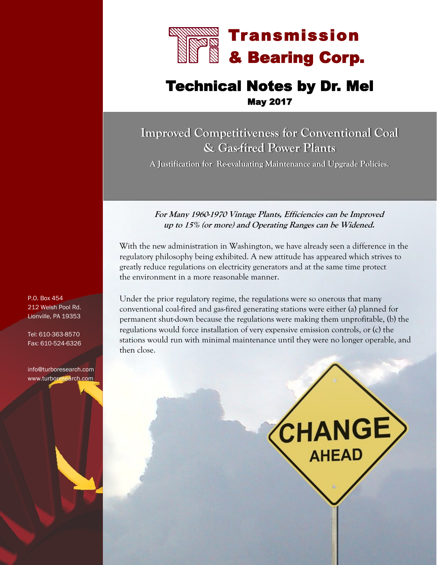

# Technical Notes by Dr. Mel May 2017

# **Improved Competitiveness for Conventional Coal & Gas-fired Power Plants**

**A Justification for Re-evaluating Maintenance and Upgrade Policies.** 

#### **For Many 1960-1970 Vintage Plants, Efficiencies can be Improved up to 15% (or more) and Operating Ranges can be Widened.**

With the new administration in Washington, we have already seen a difference in the regulatory philosophy being exhibited. A new attitude has appeared which strives to greatly reduce regulations on electricity generators and at the same time protect the environment in a more reasonable manner.

Under the prior regulatory regime, the regulations were so onerous that many conventional coal-fired and gas-fired generating stations were either (a) planned for permanent shut-down because the regulations were making them unprofitable, (b) the regulations would force installation of very expensive emission controls, or (c) the stations would run with minimal maintenance until they were no longer operable, and then close.

**CHANGE)** 

**AHEAD** 

P.O. Box 454 212 Welsh Pool Rd. Lionville, PA 19353

Tel: 610-363-8570 Fax: 610-524-6326

info@turboresearch.com www.turboresearch.com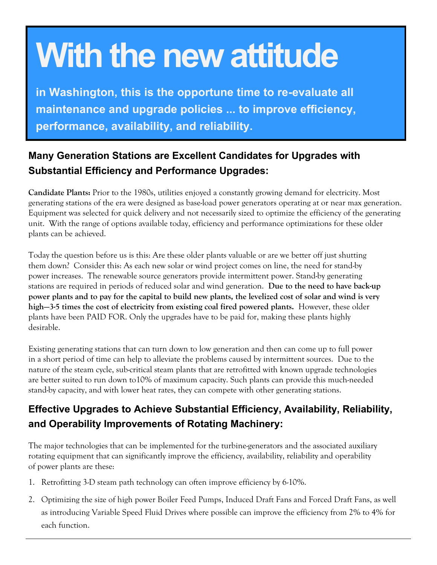# **With the new attitude**

**in Washington, this is the opportune time to re-evaluate all maintenance and upgrade policies ... to improve efficiency, performance, availability, and reliability.**

# **Many Generation Stations are Excellent Candidates for Upgrades with Substantial Efficiency and Performance Upgrades:**

**Candidate Plants:** Prior to the 1980s, utilities enjoyed a constantly growing demand for electricity. Most generating stations of the era were designed as base-load power generators operating at or near max generation. Equipment was selected for quick delivery and not necessarily sized to optimize the efficiency of the generating unit. With the range of options available today, efficiency and performance optimizations for these older plants can be achieved.

Today the question before us is this: Are these older plants valuable or are we better off just shutting them down? Consider this: As each new solar or wind project comes on line, the need for stand-by power increases. The renewable source generators provide intermittent power. Stand-by generating stations are required in periods of reduced solar and wind generation. **Due to the need to have back-up power plants and to pay for the capital to build new plants, the levelized cost of solar and wind is very high—3-5 times the cost of electricity from existing coal fired powered plants.** However, these older plants have been PAID FOR. Only the upgrades have to be paid for, making these plants highly desirable.

Existing generating stations that can turn down to low generation and then can come up to full power in a short period of time can help to alleviate the problems caused by intermittent sources. Due to the nature of the steam cycle, sub-critical steam plants that are retrofitted with known upgrade technologies are better suited to run down to10% of maximum capacity. Such plants can provide this much-needed stand-by capacity, and with lower heat rates, they can compete with other generating stations.

# **Effective Upgrades to Achieve Substantial Efficiency, Availability, Reliability, and Operability Improvements of Rotating Machinery:**

The major technologies that can be implemented for the turbine-generators and the associated auxiliary rotating equipment that can significantly improve the efficiency, availability, reliability and operability of power plants are these:

- 1. Retrofitting 3-D steam path technology can often improve efficiency by 6-10%.
- 2. Optimizing the size of high power Boiler Feed Pumps, Induced Draft Fans and Forced Draft Fans, as well as introducing Variable Speed Fluid Drives where possible can improve the efficiency from 2% to 4% for each function.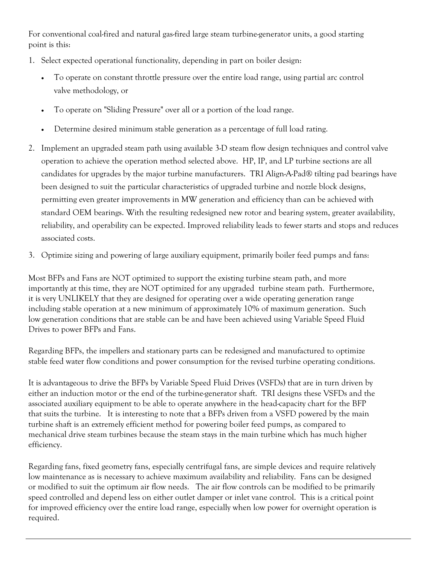For conventional coal-fired and natural gas-fired large steam turbine-generator units, a good starting point is this:

- 1. Select expected operational functionality, depending in part on boiler design:
	- To operate on constant throttle pressure over the entire load range, using partial arc control valve methodology, or
	- To operate on "Sliding Pressure" over all or a portion of the load range.
	- Determine desired minimum stable generation as a percentage of full load rating.
- 2. Implement an upgraded steam path using available 3-D steam flow design techniques and control valve operation to achieve the operation method selected above. HP, IP, and LP turbine sections are all candidates for upgrades by the major turbine manufacturers. TRI Align-A-Pad® tilting pad bearings have been designed to suit the particular characteristics of upgraded turbine and nozzle block designs, permitting even greater improvements in MW generation and efficiency than can be achieved with standard OEM bearings. With the resulting redesigned new rotor and bearing system, greater availability, reliability, and operability can be expected. Improved reliability leads to fewer starts and stops and reduces associated costs.
- 3. Optimize sizing and powering of large auxiliary equipment, primarily boiler feed pumps and fans:

Most BFPs and Fans are NOT optimized to support the existing turbine steam path, and more importantly at this time, they are NOT optimized for any upgraded turbine steam path. Furthermore, it is very UNLIKELY that they are designed for operating over a wide operating generation range including stable operation at a new minimum of approximately 10% of maximum generation. Such low generation conditions that are stable can be and have been achieved using Variable Speed Fluid Drives to power BFPs and Fans.

Regarding BFPs, the impellers and stationary parts can be redesigned and manufactured to optimize stable feed water flow conditions and power consumption for the revised turbine operating conditions.

It is advantageous to drive the BFPs by Variable Speed Fluid Drives (VSFDs) that are in turn driven by either an induction motor or the end of the turbine-generator shaft. TRI designs these VSFDs and the associated auxiliary equipment to be able to operate anywhere in the head-capacity chart for the BFP that suits the turbine. It is interesting to note that a BFPs driven from a VSFD powered by the main turbine shaft is an extremely efficient method for powering boiler feed pumps, as compared to mechanical drive steam turbines because the steam stays in the main turbine which has much higher efficiency.

Regarding fans, fixed geometry fans, especially centrifugal fans, are simple devices and require relatively low maintenance as is necessary to achieve maximum availability and reliability. Fans can be designed or modified to suit the optimum air flow needs. The air flow controls can be modified to be primarily speed controlled and depend less on either outlet damper or inlet vane control. This is a critical point for improved efficiency over the entire load range, especially when low power for overnight operation is required.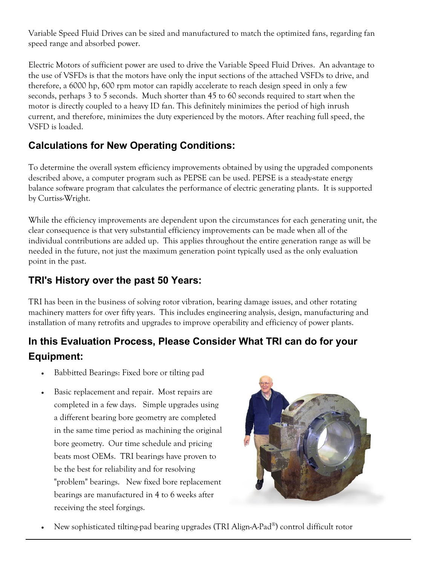Variable Speed Fluid Drives can be sized and manufactured to match the optimized fans, regarding fan speed range and absorbed power.

Electric Motors of sufficient power are used to drive the Variable Speed Fluid Drives. An advantage to the use of VSFDs is that the motors have only the input sections of the attached VSFDs to drive, and therefore, a 6000 hp, 600 rpm motor can rapidly accelerate to reach design speed in only a few seconds, perhaps 3 to 5 seconds. Much shorter than 45 to 60 seconds required to start when the motor is directly coupled to a heavy ID fan. This definitely minimizes the period of high inrush current, and therefore, minimizes the duty experienced by the motors. After reaching full speed, the VSFD is loaded.

## **Calculations for New Operating Conditions:**

To determine the overall system efficiency improvements obtained by using the upgraded components described above, a computer program such as PEPSE can be used. PEPSE is a steady-state energy balance software program that calculates the performance of electric generating plants. It is supported by Curtiss-Wright.

While the efficiency improvements are dependent upon the circumstances for each generating unit, the clear consequence is that very substantial efficiency improvements can be made when all of the individual contributions are added up. This applies throughout the entire generation range as will be needed in the future, not just the maximum generation point typically used as the only evaluation point in the past.

#### **TRI's History over the past 50 Years:**

TRI has been in the business of solving rotor vibration, bearing damage issues, and other rotating machinery matters for over fifty years. This includes engineering analysis, design, manufacturing and installation of many retrofits and upgrades to improve operability and efficiency of power plants.

# **In this Evaluation Process, Please Consider What TRI can do for your Equipment:**

- Babbitted Bearings: Fixed bore or tilting pad
- Basic replacement and repair. Most repairs are completed in a few days. Simple upgrades using a different bearing bore geometry are completed in the same time period as machining the original bore geometry. Our time schedule and pricing beats most OEMs. TRI bearings have proven to be the best for reliability and for resolving "problem" bearings. New fixed bore replacement bearings are manufactured in 4 to 6 weeks after receiving the steel forgings.



• New sophisticated tilting-pad bearing upgrades (TRI Align-A-Pad®) control difficult rotor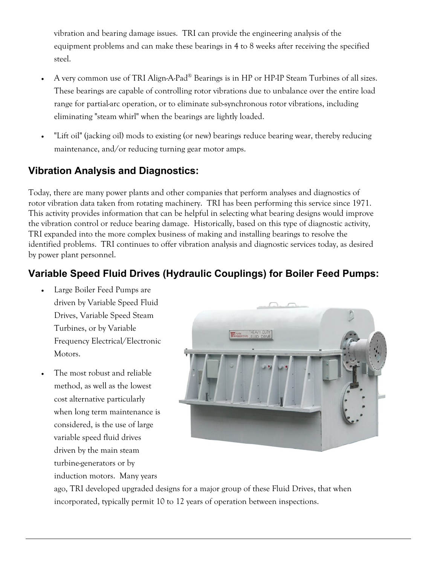vibration and bearing damage issues. TRI can provide the engineering analysis of the equipment problems and can make these bearings in 4 to 8 weeks after receiving the specified steel.

- A very common use of TRI Align-A-Pad® Bearings is in HP or HP-IP Steam Turbines of all sizes. These bearings are capable of controlling rotor vibrations due to unbalance over the entire load range for partial-arc operation, or to eliminate sub-synchronous rotor vibrations, including eliminating "steam whirl" when the bearings are lightly loaded.
- "Lift oil" (jacking oil) mods to existing (or new) bearings reduce bearing wear, thereby reducing maintenance, and/or reducing turning gear motor amps.

#### **Vibration Analysis and Diagnostics:**

Today, there are many power plants and other companies that perform analyses and diagnostics of rotor vibration data taken from rotating machinery. TRI has been performing this service since 1971. This activity provides information that can be helpful in selecting what bearing designs would improve the vibration control or reduce bearing damage. Historically, based on this type of diagnostic activity, TRI expanded into the more complex business of making and installing bearings to resolve the identified problems. TRI continues to offer vibration analysis and diagnostic services today, as desired by power plant personnel.

#### **Variable Speed Fluid Drives (Hydraulic Couplings) for Boiler Feed Pumps:**

- Large Boiler Feed Pumps are driven by Variable Speed Fluid Drives, Variable Speed Steam Turbines, or by Variable Frequency Electrical/Electronic Motors.
- The most robust and reliable method, as well as the lowest cost alternative particularly when long term maintenance is considered, is the use of large variable speed fluid drives driven by the main steam turbine-generators or by induction motors. Many years



ago, TRI developed upgraded designs for a major group of these Fluid Drives, that when incorporated, typically permit 10 to 12 years of operation between inspections.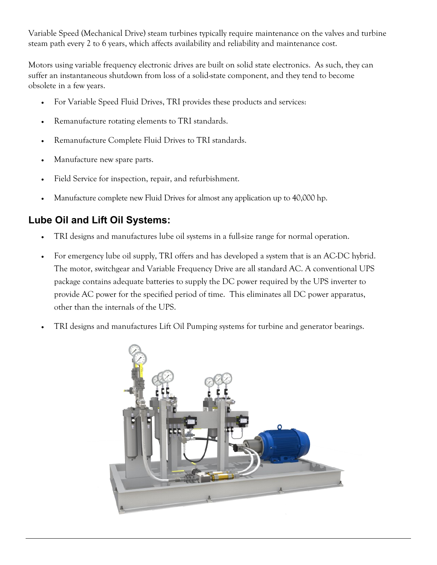Variable Speed (Mechanical Drive) steam turbines typically require maintenance on the valves and turbine steam path every 2 to 6 years, which affects availability and reliability and maintenance cost.

Motors using variable frequency electronic drives are built on solid state electronics. As such, they can suffer an instantaneous shutdown from loss of a solid-state component, and they tend to become obsolete in a few years.

- For Variable Speed Fluid Drives, TRI provides these products and services:
- Remanufacture rotating elements to TRI standards.
- Remanufacture Complete Fluid Drives to TRI standards.
- Manufacture new spare parts.
- Field Service for inspection, repair, and refurbishment.
- Manufacture complete new Fluid Drives for almost any application up to 40,000 hp.

#### **Lube Oil and Lift Oil Systems:**

- TRI designs and manufactures lube oil systems in a full-size range for normal operation.
- For emergency lube oil supply, TRI offers and has developed a system that is an AC-DC hybrid. The motor, switchgear and Variable Frequency Drive are all standard AC. A conventional UPS package contains adequate batteries to supply the DC power required by the UPS inverter to provide AC power for the specified period of time. This eliminates all DC power apparatus, other than the internals of the UPS.
- TRI designs and manufactures Lift Oil Pumping systems for turbine and generator bearings.